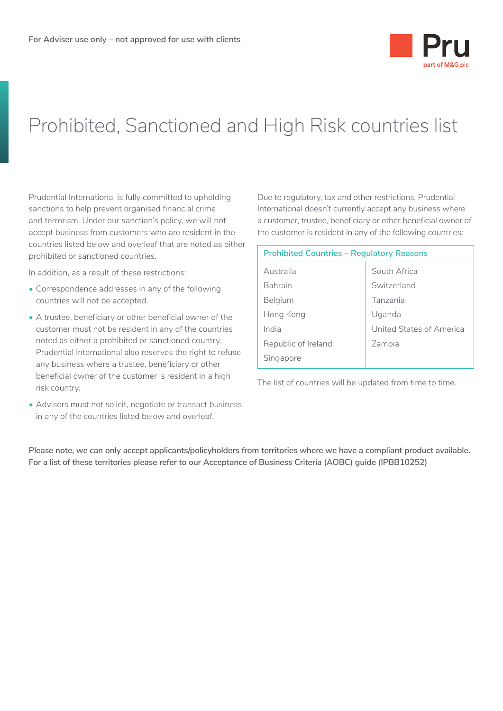

## Prohibited, Sanctioned and High Risk countries list

Prudential International is fully committed to upholding sanctions to help prevent organised financial crime and terrorism. Under our sanction's policy, we will not accept business from customers who are resident in the countries listed below and overleaf that are noted as either prohibited or sanctioned countries.

In addition, as a result of these restrictions:

- Correspondence addresses in any of the following countries will not be accepted.
- A trustee, beneficiary or other beneficial owner of the customer must not be resident in any of the countries noted as either a prohibited or sanctioned country. Prudential International also reserves the right to refuse any business where a trustee, beneficiary or other beneficial owner of the customer is resident in a high risk country.
- Advisers must not solicit, negotiate or transact business in any of the countries listed below and overleaf.

Due to regulatory, tax and other restrictions, Prudential International doesn't currently accept any business where a customer, trustee, beneficiary or other beneficial owner of the customer is resident in any of the following countries:

| <b>Prohibited Countries - Regulatory Reasons</b> |                          |  |  |  |
|--------------------------------------------------|--------------------------|--|--|--|
| Australia                                        | South Africa             |  |  |  |
| <b>Bahrain</b>                                   | Switzerland              |  |  |  |
| Belgium                                          | Tanzania                 |  |  |  |
| Hong Kong                                        | Uganda                   |  |  |  |
| India                                            | United States of America |  |  |  |
| Republic of Ireland                              | Zambia                   |  |  |  |
| Singapore                                        |                          |  |  |  |

The list of countries will be updated from time to time.

**Please note, we can only accept applicants/policyholders from territories where we have a compliant product available. For a list of these territories please refer to our Acceptance of Business Criteria (AOBC) guide (IPBB10252)**